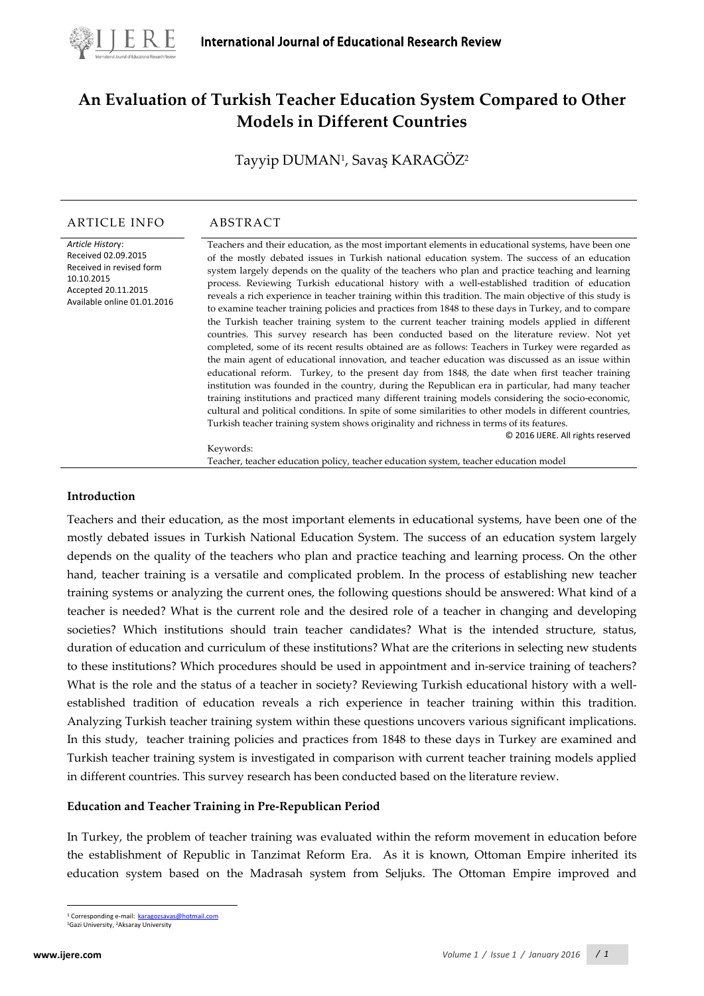

# **An Evaluation of Turkish Teacher Education System Compared to Other Models in Different Countries**

Tayyip DUMAN<sup>1</sup>, Savaş KARAGOZ<sup>2</sup>

#### ARTICLE INFO ABSTRACT

*Article Histor*y: Received 02.09.2015 Received in revised form 10.10.2015 Accepted 20.11.2015 Available online 01.01.2016 Teachers and their education, as the most important elements in educational systems, have been one of the mostly debated issues in Turkish national education system. The success of an education system largely depends on the quality of the teachers who plan and practice teaching and learning process. Reviewing Turkish educational history with a well-established tradition of education reveals a rich experience in teacher training within this tradition. The main objective of this study is to examine teacher training policies and practices from 1848 to these days in Turkey, and to compare the Turkish teacher training system to the current teacher training models applied in different countries. This survey research has been conducted based on the literature review. Not yet completed, some of its recent results obtained are as follows: Teachers in Turkey were regarded as the main agent of educational innovation, and teacher education was discussed as an issue within educational reform. Turkey, to the present day from 1848, the date when first teacher training institution was founded in the country, during the Republican era in particular, had many teacher training institutions and practiced many different training models considering the socio-economic, cultural and political conditions. In spite of some similarities to other models in different countries, Turkish teacher training system shows originality and richness in terms of its features. © 2016 IJERE. All rights reserved

Keywords:

Teacher, teacher education policy, teacher education system, teacher education model

#### **Introduction**

Teachers and their education, as the most important elements in educational systems, have been one of the mostly debated issues in Turkish National Education System. The success of an education system largely depends on the quality of the teachers who plan and practice teaching and learning process. On the other hand, teacher training is a versatile and complicated problem. In the process of establishing new teacher training systems or analyzing the current ones, the following questions should be answered: What kind of a teacher is needed? What is the current role and the desired role of a teacher in changing and developing societies? Which institutions should train teacher candidates? What is the intended structure, status, duration of education and curriculum of these institutions? What are the criterions in selecting new students to these institutions? Which procedures should be used in appointment and in-service training of teachers? What is the role and the status of a teacher in society? Reviewing Turkish educational history with a wellestablished tradition of education reveals a rich experience in teacher training within this tradition. Analyzing Turkish teacher training system within these questions uncovers various significant implications. In this study, teacher training policies and practices from 1848 to these days in Turkey are examined and Turkish teacher training system is investigated in comparison with current teacher training models applied in different countries. This survey research has been conducted based on the literature review.

#### **Education and Teacher Training in Pre-Republican Period**

In Turkey, the problem of teacher training was evaluated within the reform movement in education before the establishment of Republic in Tanzimat Reform Era. As it is known, Ottoman Empire inherited its education system based on the Madrasah system from Seljuks. The Ottoman Empire improved and

 $\overline{a}$ 

<sup>&</sup>lt;sup>1</sup> Corresponding e-mail: **[karagozsavas@hotmail.com](mailto:karagozsavas@hotmail.com)** 

<span id="page-0-0"></span><sup>1</sup>Gazi University, 2Aksaray University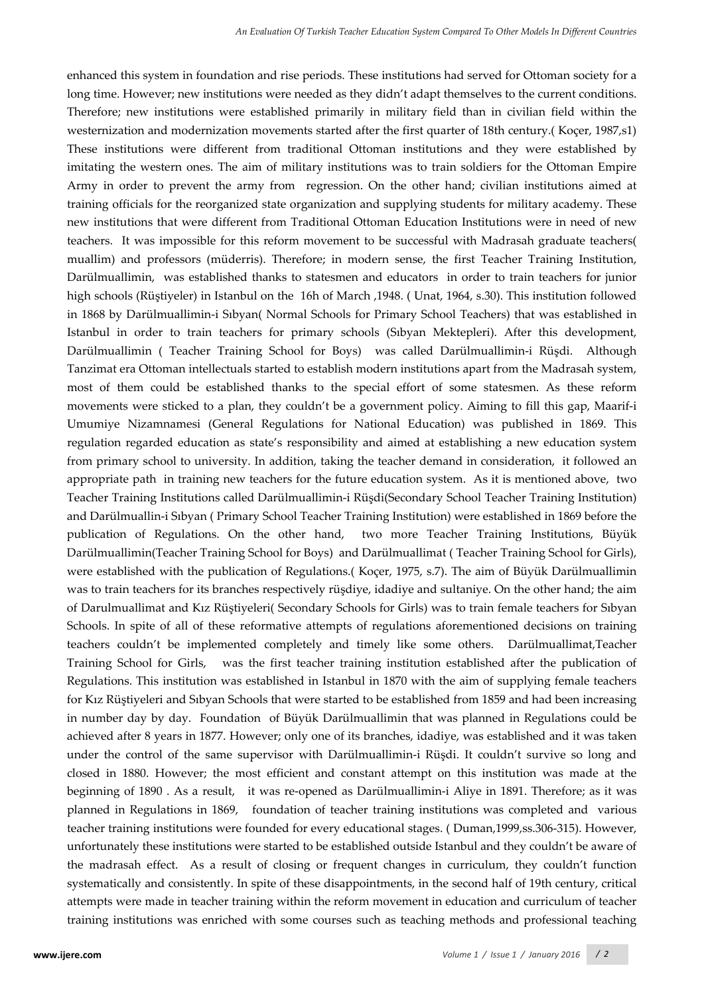enhanced this system in foundation and rise periods. These institutions had served for Ottoman society for a long time. However; new institutions were needed as they didn't adapt themselves to the current conditions. Therefore; new institutions were established primarily in military field than in civilian field within the westernization and modernization movements started after the first quarter of 18th century.( Koçer, 1987,s1) These institutions were different from traditional Ottoman institutions and they were established by imitating the western ones. The aim of military institutions was to train soldiers for the Ottoman Empire Army in order to prevent the army from regression. On the other hand; civilian institutions aimed at training officials for the reorganized state organization and supplying students for military academy. These new institutions that were different from Traditional Ottoman Education Institutions were in need of new teachers. It was impossible for this reform movement to be successful with Madrasah graduate teachers( muallim) and professors (müderris). Therefore; in modern sense, the first Teacher Training Institution, Darülmuallimin, was established thanks to statesmen and educators in order to train teachers for junior high schools (Rüştiyeler) in Istanbul on the 16h of March ,1948. ( Unat, 1964, s.30). This institution followed in 1868 by Darülmuallimin-i Sıbyan( Normal Schools for Primary School Teachers) that was established in Istanbul in order to train teachers for primary schools (Sıbyan Mektepleri). After this development, Darülmuallimin ( Teacher Training School for Boys) was called Darülmuallimin-i Rüşdi. Although Tanzimat era Ottoman intellectuals started to establish modern institutions apart from the Madrasah system, most of them could be established thanks to the special effort of some statesmen. As these reform movements were sticked to a plan, they couldn't be a government policy. Aiming to fill this gap, Maarif-i Umumiye Nizamnamesi (General Regulations for National Education) was published in 1869. This regulation regarded education as state's responsibility and aimed at establishing a new education system from primary school to university. In addition, taking the teacher demand in consideration, it followed an appropriate path in training new teachers for the future education system. As it is mentioned above, two Teacher Training Institutions called Darülmuallimin-i Rüşdi(Secondary School Teacher Training Institution) and Darülmuallin-i Sıbyan ( Primary School Teacher Training Institution) were established in 1869 before the publication of Regulations. On the other hand, two more Teacher Training Institutions, Büyük Darülmuallimin(Teacher Training School for Boys) and Darülmuallimat ( Teacher Training School for Girls), were established with the publication of Regulations.( Koçer, 1975, s.7). The aim of Büyük Darülmuallimin was to train teachers for its branches respectively rüşdiye, idadiye and sultaniye. On the other hand; the aim of Darulmuallimat and Kız Rüştiyeleri( Secondary Schools for Girls) was to train female teachers for Sıbyan Schools. In spite of all of these reformative attempts of regulations aforementioned decisions on training teachers couldn't be implemented completely and timely like some others. Darülmuallimat,Teacher Training School for Girls, was the first teacher training institution established after the publication of Regulations. This institution was established in Istanbul in 1870 with the aim of supplying female teachers for Kız Rüştiyeleri and Sıbyan Schools that were started to be established from 1859 and had been increasing in number day by day. Foundation of Büyük Darülmuallimin that was planned in Regulations could be achieved after 8 years in 1877. However; only one of its branches, idadiye, was established and it was taken under the control of the same supervisor with Darülmuallimin-i Rüşdi. It couldn't survive so long and closed in 1880. However; the most efficient and constant attempt on this institution was made at the beginning of 1890 . As a result, it was re-opened as Darülmuallimin-i Aliye in 1891. Therefore; as it was planned in Regulations in 1869, foundation of teacher training institutions was completed and various teacher training institutions were founded for every educational stages. ( Duman,1999,ss.306-315). However, unfortunately these institutions were started to be established outside Istanbul and they couldn't be aware of the madrasah effect. As a result of closing or frequent changes in curriculum, they couldn't function systematically and consistently. In spite of these disappointments, in the second half of 19th century, critical attempts were made in teacher training within the reform movement in education and curriculum of teacher training institutions was enriched with some courses such as teaching methods and professional teaching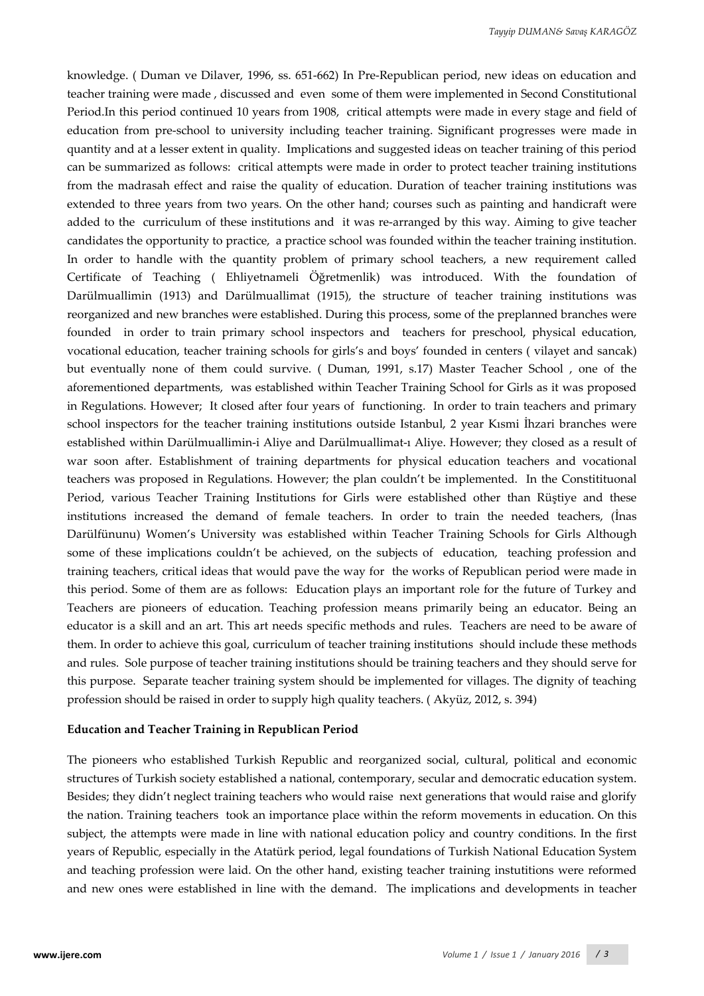knowledge. ( Duman ve Dilaver, 1996, ss. 651-662) In Pre-Republican period, new ideas on education and teacher training were made , discussed and even some of them were implemented in Second Constitutional Period.In this period continued 10 years from 1908, critical attempts were made in every stage and field of education from pre-school to university including teacher training. Significant progresses were made in quantity and at a lesser extent in quality. Implications and suggested ideas on teacher training of this period can be summarized as follows: critical attempts were made in order to protect teacher training institutions from the madrasah effect and raise the quality of education. Duration of teacher training institutions was extended to three years from two years. On the other hand; courses such as painting and handicraft were added to the curriculum of these institutions and it was re-arranged by this way. Aiming to give teacher candidates the opportunity to practice, a practice school was founded within the teacher training institution. In order to handle with the quantity problem of primary school teachers, a new requirement called Certificate of Teaching ( Ehliyetnameli Öğretmenlik) was introduced. With the foundation of Darülmuallimin (1913) and Darülmuallimat (1915), the structure of teacher training institutions was reorganized and new branches were established. During this process, some of the preplanned branches were founded in order to train primary school inspectors and teachers for preschool, physical education, vocational education, teacher training schools for girls's and boys' founded in centers ( vilayet and sancak) but eventually none of them could survive. ( Duman, 1991, s.17) Master Teacher School , one of the aforementioned departments, was established within Teacher Training School for Girls as it was proposed in Regulations. However; It closed after four years of functioning. In order to train teachers and primary school inspectors for the teacher training institutions outside Istanbul, 2 year Kısmi İhzari branches were established within Darülmuallimin-i Aliye and Darülmuallimat-ı Aliye. However; they closed as a result of war soon after. Establishment of training departments for physical education teachers and vocational teachers was proposed in Regulations. However; the plan couldn't be implemented. In the Constitituonal Period, various Teacher Training Institutions for Girls were established other than Rüştiye and these institutions increased the demand of female teachers. In order to train the needed teachers, (İnas Darülfünunu) Women's University was established within Teacher Training Schools for Girls Although some of these implications couldn't be achieved, on the subjects of education, teaching profession and training teachers, critical ideas that would pave the way for the works of Republican period were made in this period. Some of them are as follows: Education plays an important role for the future of Turkey and Teachers are pioneers of education. Teaching profession means primarily being an educator. Being an educator is a skill and an art. This art needs specific methods and rules. Teachers are need to be aware of them. In order to achieve this goal, curriculum of teacher training institutions should include these methods and rules. Sole purpose of teacher training institutions should be training teachers and they should serve for this purpose. Separate teacher training system should be implemented for villages. The dignity of teaching profession should be raised in order to supply high quality teachers. ( Akyüz, 2012, s. 394)

#### **Education and Teacher Training in Republican Period**

The pioneers who established Turkish Republic and reorganized social, cultural, political and economic structures of Turkish society established a national, contemporary, secular and democratic education system. Besides; they didn't neglect training teachers who would raise next generations that would raise and glorify the nation. Training teachers took an importance place within the reform movements in education. On this subject, the attempts were made in line with national education policy and country conditions. In the first years of Republic, especially in the Atatürk period, legal foundations of Turkish National Education System and teaching profession were laid. On the other hand, existing teacher training instutitions were reformed and new ones were established in line with the demand. The implications and developments in teacher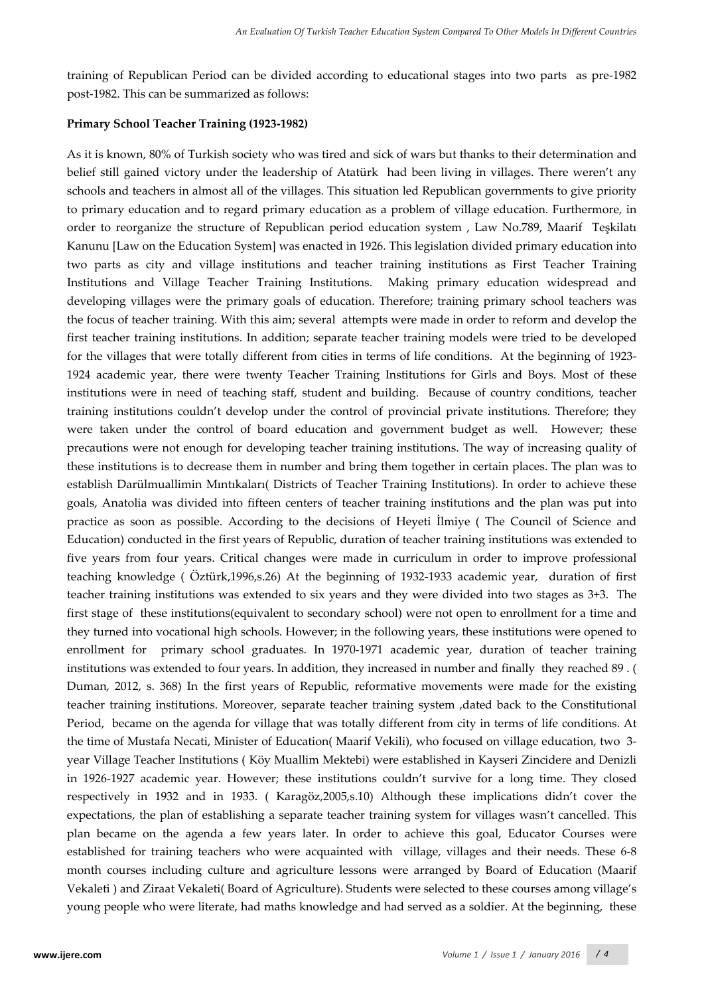training of Republican Period can be divided according to educational stages into two parts as pre-1982 post-1982. This can be summarized as follows:

#### **Primary School Teacher Training (1923-1982)**

As it is known, 80% of Turkish society who was tired and sick of wars but thanks to their determination and belief still gained victory under the leadership of Atatürk had been living in villages. There weren't any schools and teachers in almost all of the villages. This situation led Republican governments to give priority to primary education and to regard primary education as a problem of village education. Furthermore, in order to reorganize the structure of Republican period education system , Law No.789, Maarif Teşkilatı Kanunu [Law on the Education System] was enacted in 1926. This legislation divided primary education into two parts as city and village institutions and teacher training institutions as First Teacher Training Institutions and Village Teacher Training Institutions. Making primary education widespread and developing villages were the primary goals of education. Therefore; training primary school teachers was the focus of teacher training. With this aim; several attempts were made in order to reform and develop the first teacher training institutions. In addition; separate teacher training models were tried to be developed for the villages that were totally different from cities in terms of life conditions. At the beginning of 1923- 1924 academic year, there were twenty Teacher Training Institutions for Girls and Boys. Most of these institutions were in need of teaching staff, student and building. Because of country conditions, teacher training institutions couldn't develop under the control of provincial private institutions. Therefore; they were taken under the control of board education and government budget as well. However; these precautions were not enough for developing teacher training institutions. The way of increasing quality of these institutions is to decrease them in number and bring them together in certain places. The plan was to establish Darülmuallimin Mıntıkaları( Districts of Teacher Training Institutions). In order to achieve these goals, Anatolia was divided into fifteen centers of teacher training institutions and the plan was put into practice as soon as possible. According to the decisions of Heyeti İlmiye ( The Council of Science and Education) conducted in the first years of Republic, duration of teacher training institutions was extended to five years from four years. Critical changes were made in curriculum in order to improve professional teaching knowledge ( Öztürk,1996,s.26) At the beginning of 1932-1933 academic year, duration of first teacher training institutions was extended to six years and they were divided into two stages as 3+3. The first stage of these institutions(equivalent to secondary school) were not open to enrollment for a time and they turned into vocational high schools. However; in the following years, these institutions were opened to enrollment for primary school graduates. In 1970-1971 academic year, duration of teacher training institutions was extended to four years. In addition, they increased in number and finally they reached 89 . ( Duman, 2012, s. 368) In the first years of Republic, reformative movements were made for the existing teacher training institutions. Moreover, separate teacher training system ,dated back to the Constitutional Period, became on the agenda for village that was totally different from city in terms of life conditions. At the time of Mustafa Necati, Minister of Education( Maarif Vekili), who focused on village education, two 3 year Village Teacher Institutions ( Köy Muallim Mektebi) were established in Kayseri Zincidere and Denizli in 1926-1927 academic year. However; these institutions couldn't survive for a long time. They closed respectively in 1932 and in 1933. ( Karagöz,2005,s.10) Although these implications didn't cover the expectations, the plan of establishing a separate teacher training system for villages wasn't cancelled. This plan became on the agenda a few years later. In order to achieve this goal, Educator Courses were established for training teachers who were acquainted with village, villages and their needs. These 6-8 month courses including culture and agriculture lessons were arranged by Board of Education (Maarif Vekaleti ) and Ziraat Vekaleti( Board of Agriculture). Students were selected to these courses among village's young people who were literate, had maths knowledge and had served as a soldier. At the beginning, these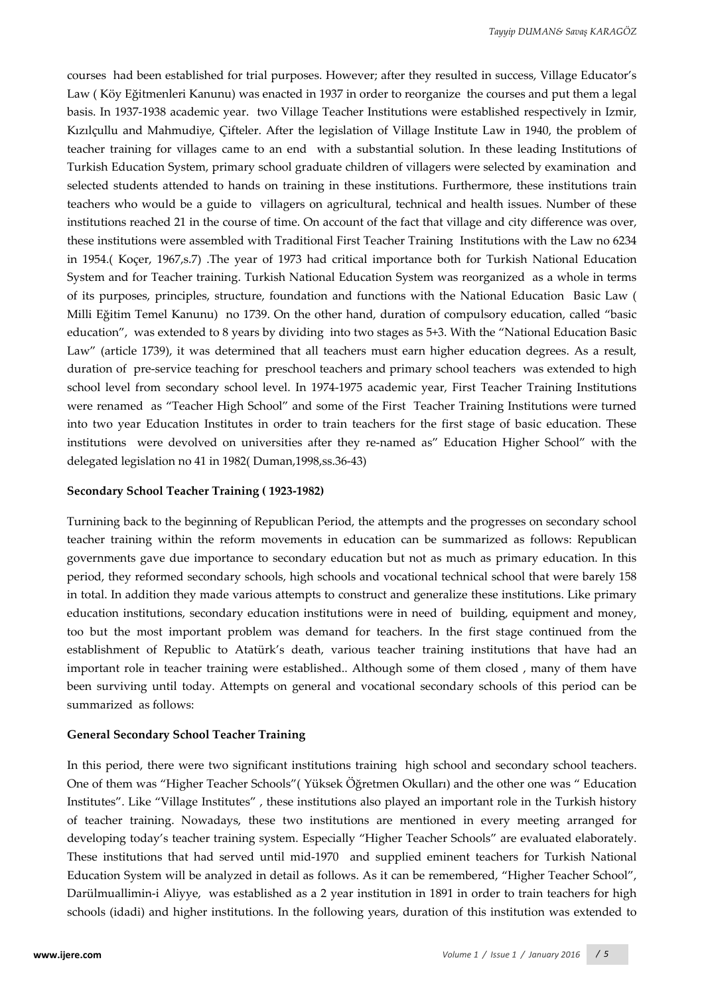courses had been established for trial purposes. However; after they resulted in success, Village Educator's Law ( Köy Eğitmenleri Kanunu) was enacted in 1937 in order to reorganize the courses and put them a legal basis. In 1937-1938 academic year. two Village Teacher Institutions were established respectively in Izmir, Kızılçullu and Mahmudiye, Çifteler. After the legislation of Village Institute Law in 1940, the problem of teacher training for villages came to an end with a substantial solution. In these leading Institutions of Turkish Education System, primary school graduate children of villagers were selected by examination and selected students attended to hands on training in these institutions. Furthermore, these institutions train teachers who would be a guide to villagers on agricultural, technical and health issues. Number of these institutions reached 21 in the course of time. On account of the fact that village and city difference was over, these institutions were assembled with Traditional First Teacher Training Institutions with the Law no 6234 in 1954.( Koçer, 1967,s.7) .The year of 1973 had critical importance both for Turkish National Education System and for Teacher training. Turkish National Education System was reorganized as a whole in terms of its purposes, principles, structure, foundation and functions with the National Education Basic Law ( Milli Eğitim Temel Kanunu) no 1739. On the other hand, duration of compulsory education, called "basic education", was extended to 8 years by dividing into two stages as 5+3. With the "National Education Basic Law" (article 1739), it was determined that all teachers must earn higher education degrees. As a result, duration of pre-service teaching for preschool teachers and primary school teachers was extended to high school level from secondary school level. In 1974-1975 academic year, First Teacher Training Institutions were renamed as "Teacher High School" and some of the First Teacher Training Institutions were turned into two year Education Institutes in order to train teachers for the first stage of basic education. These institutions were devolved on universities after they re-named as" Education Higher School" with the delegated legislation no 41 in 1982( Duman,1998,ss.36-43)

#### **Secondary School Teacher Training ( 1923-1982)**

Turnining back to the beginning of Republican Period, the attempts and the progresses on secondary school teacher training within the reform movements in education can be summarized as follows: Republican governments gave due importance to secondary education but not as much as primary education. In this period, they reformed secondary schools, high schools and vocational technical school that were barely 158 in total. In addition they made various attempts to construct and generalize these institutions. Like primary education institutions, secondary education institutions were in need of building, equipment and money, too but the most important problem was demand for teachers. In the first stage continued from the establishment of Republic to Atatürk's death, various teacher training institutions that have had an important role in teacher training were established.. Although some of them closed , many of them have been surviving until today. Attempts on general and vocational secondary schools of this period can be summarized as follows:

#### **General Secondary School Teacher Training**

In this period, there were two significant institutions training high school and secondary school teachers. One of them was "Higher Teacher Schools"( Yüksek Öğretmen Okulları) and the other one was " Education Institutes". Like "Village Institutes" , these institutions also played an important role in the Turkish history of teacher training. Nowadays, these two institutions are mentioned in every meeting arranged for developing today's teacher training system. Especially "Higher Teacher Schools" are evaluated elaborately. These institutions that had served until mid-1970 and supplied eminent teachers for Turkish National Education System will be analyzed in detail as follows. As it can be remembered, "Higher Teacher School", Darülmuallimin-i Aliyye, was established as a 2 year institution in 1891 in order to train teachers for high schools (idadi) and higher institutions. In the following years, duration of this institution was extended to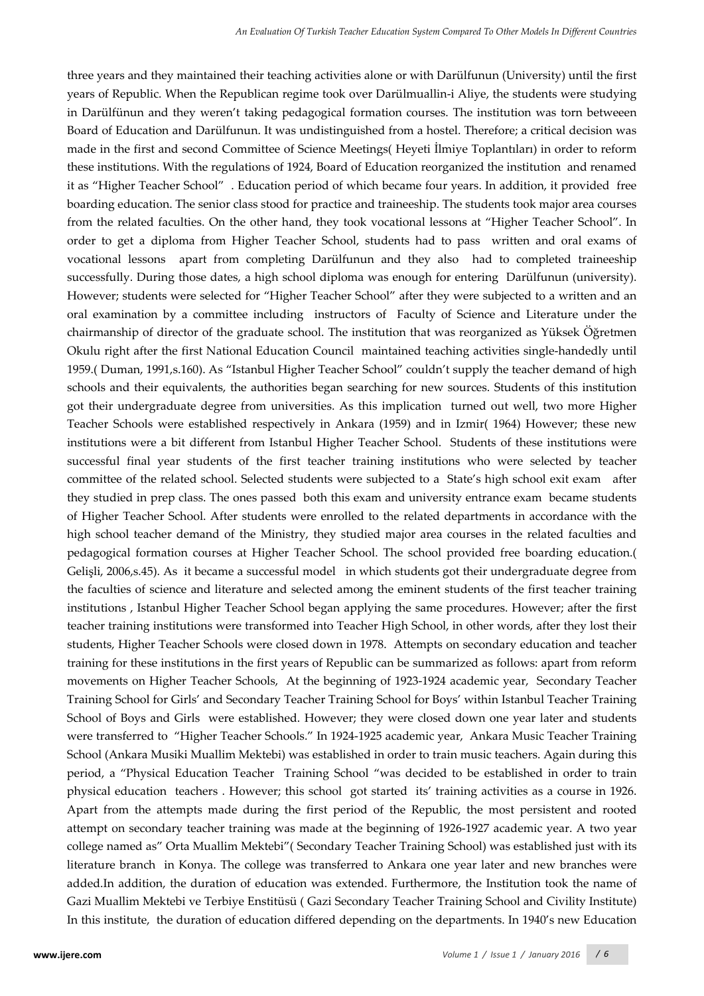three years and they maintained their teaching activities alone or with Darülfunun (University) until the first years of Republic. When the Republican regime took over Darülmuallin-i Aliye, the students were studying in Darülfünun and they weren't taking pedagogical formation courses. The institution was torn betweeen Board of Education and Darülfunun. It was undistinguished from a hostel. Therefore; a critical decision was made in the first and second Committee of Science Meetings( Heyeti İlmiye Toplantıları) in order to reform these institutions. With the regulations of 1924, Board of Education reorganized the institution and renamed it as "Higher Teacher School" . Education period of which became four years. In addition, it provided free boarding education. The senior class stood for practice and traineeship. The students took major area courses from the related faculties. On the other hand, they took vocational lessons at "Higher Teacher School". In order to get a diploma from Higher Teacher School, students had to pass written and oral exams of vocational lessons apart from completing Darülfunun and they also had to completed traineeship successfully. During those dates, a high school diploma was enough for entering Darülfunun (university). However; students were selected for "Higher Teacher School" after they were subjected to a written and an oral examination by a committee including instructors of Faculty of Science and Literature under the chairmanship of director of the graduate school. The institution that was reorganized as Yüksek Öğretmen Okulu right after the first National Education Council maintained teaching activities single-handedly until 1959.( Duman, 1991,s.160). As "Istanbul Higher Teacher School" couldn't supply the teacher demand of high schools and their equivalents, the authorities began searching for new sources. Students of this institution got their undergraduate degree from universities. As this implication turned out well, two more Higher Teacher Schools were established respectively in Ankara (1959) and in Izmir( 1964) However; these new institutions were a bit different from Istanbul Higher Teacher School. Students of these institutions were successful final year students of the first teacher training institutions who were selected by teacher committee of the related school. Selected students were subjected to a State's high school exit exam after they studied in prep class. The ones passed both this exam and university entrance exam became students of Higher Teacher School. After students were enrolled to the related departments in accordance with the high school teacher demand of the Ministry, they studied major area courses in the related faculties and pedagogical formation courses at Higher Teacher School. The school provided free boarding education.( Gelişli, 2006,s.45). As it became a successful model in which students got their undergraduate degree from the faculties of science and literature and selected among the eminent students of the first teacher training institutions , Istanbul Higher Teacher School began applying the same procedures. However; after the first teacher training institutions were transformed into Teacher High School, in other words, after they lost their students, Higher Teacher Schools were closed down in 1978. Attempts on secondary education and teacher training for these institutions in the first years of Republic can be summarized as follows: apart from reform movements on Higher Teacher Schools, At the beginning of 1923-1924 academic year, Secondary Teacher Training School for Girls' and Secondary Teacher Training School for Boys' within Istanbul Teacher Training School of Boys and Girls were established. However; they were closed down one year later and students were transferred to "Higher Teacher Schools." In 1924-1925 academic year, Ankara Music Teacher Training School (Ankara Musiki Muallim Mektebi) was established in order to train music teachers. Again during this period, a "Physical Education Teacher Training School "was decided to be established in order to train physical education teachers . However; this school got started its' training activities as a course in 1926. Apart from the attempts made during the first period of the Republic, the most persistent and rooted attempt on secondary teacher training was made at the beginning of 1926-1927 academic year. A two year college named as" Orta Muallim Mektebi"( Secondary Teacher Training School) was established just with its literature branch in Konya. The college was transferred to Ankara one year later and new branches were added.In addition, the duration of education was extended. Furthermore, the Institution took the name of Gazi Muallim Mektebi ve Terbiye Enstitüsü ( Gazi Secondary Teacher Training School and Civility Institute) In this institute, the duration of education differed depending on the departments. In 1940's new Education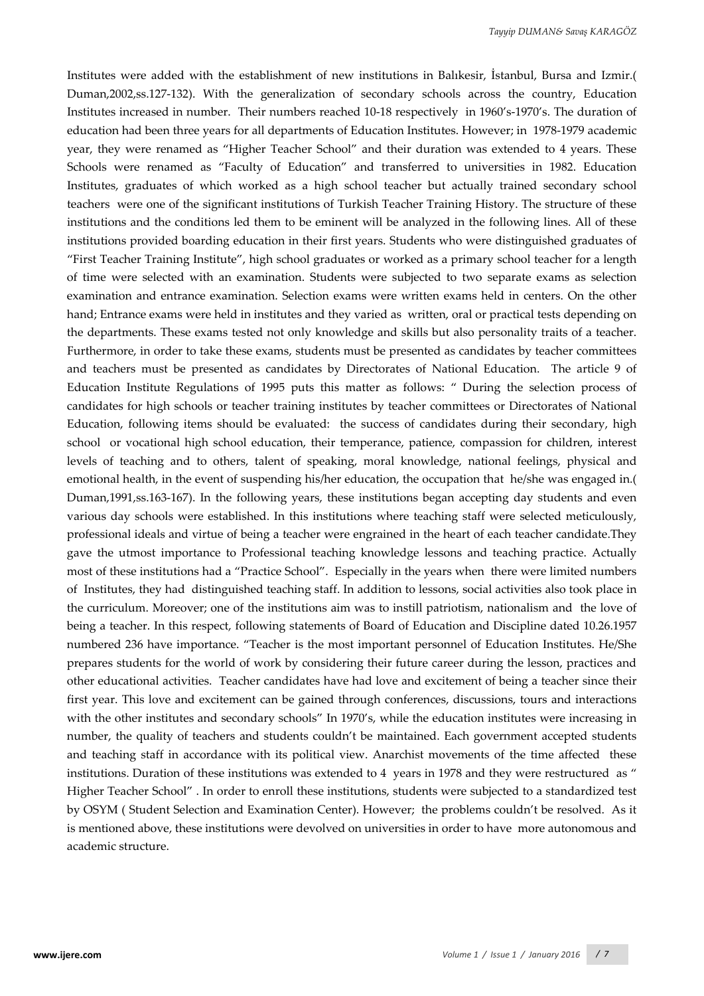Institutes were added with the establishment of new institutions in Balıkesir, İstanbul, Bursa and Izmir.( Duman,2002,ss.127-132). With the generalization of secondary schools across the country, Education Institutes increased in number. Their numbers reached 10-18 respectively in 1960's-1970's. The duration of education had been three years for all departments of Education Institutes. However; in 1978-1979 academic year, they were renamed as "Higher Teacher School" and their duration was extended to 4 years. These Schools were renamed as "Faculty of Education" and transferred to universities in 1982. Education Institutes, graduates of which worked as a high school teacher but actually trained secondary school teachers were one of the significant institutions of Turkish Teacher Training History. The structure of these institutions and the conditions led them to be eminent will be analyzed in the following lines. All of these institutions provided boarding education in their first years. Students who were distinguished graduates of "First Teacher Training Institute", high school graduates or worked as a primary school teacher for a length of time were selected with an examination. Students were subjected to two separate exams as selection examination and entrance examination. Selection exams were written exams held in centers. On the other hand; Entrance exams were held in institutes and they varied as written, oral or practical tests depending on the departments. These exams tested not only knowledge and skills but also personality traits of a teacher. Furthermore, in order to take these exams, students must be presented as candidates by teacher committees and teachers must be presented as candidates by Directorates of National Education. The article 9 of Education Institute Regulations of 1995 puts this matter as follows: " During the selection process of candidates for high schools or teacher training institutes by teacher committees or Directorates of National Education, following items should be evaluated: the success of candidates during their secondary, high school or vocational high school education, their temperance, patience, compassion for children, interest levels of teaching and to others, talent of speaking, moral knowledge, national feelings, physical and emotional health, in the event of suspending his/her education, the occupation that he/she was engaged in.( Duman,1991,ss.163-167). In the following years, these institutions began accepting day students and even various day schools were established. In this institutions where teaching staff were selected meticulously, professional ideals and virtue of being a teacher were engrained in the heart of each teacher candidate.They gave the utmost importance to Professional teaching knowledge lessons and teaching practice. Actually most of these institutions had a "Practice School". Especially in the years when there were limited numbers of Institutes, they had distinguished teaching staff. In addition to lessons, social activities also took place in the curriculum. Moreover; one of the institutions aim was to instill patriotism, nationalism and the love of being a teacher. In this respect, following statements of Board of Education and Discipline dated 10.26.1957 numbered 236 have importance. "Teacher is the most important personnel of Education Institutes. He/She prepares students for the world of work by considering their future career during the lesson, practices and other educational activities. Teacher candidates have had love and excitement of being a teacher since their first year. This love and excitement can be gained through conferences, discussions, tours and interactions with the other institutes and secondary schools" In 1970's, while the education institutes were increasing in number, the quality of teachers and students couldn't be maintained. Each government accepted students and teaching staff in accordance with its political view. Anarchist movements of the time affected these institutions. Duration of these institutions was extended to 4 years in 1978 and they were restructured as " Higher Teacher School" . In order to enroll these institutions, students were subjected to a standardized test by OSYM ( Student Selection and Examination Center). However; the problems couldn't be resolved. As it is mentioned above, these institutions were devolved on universities in order to have more autonomous and academic structure.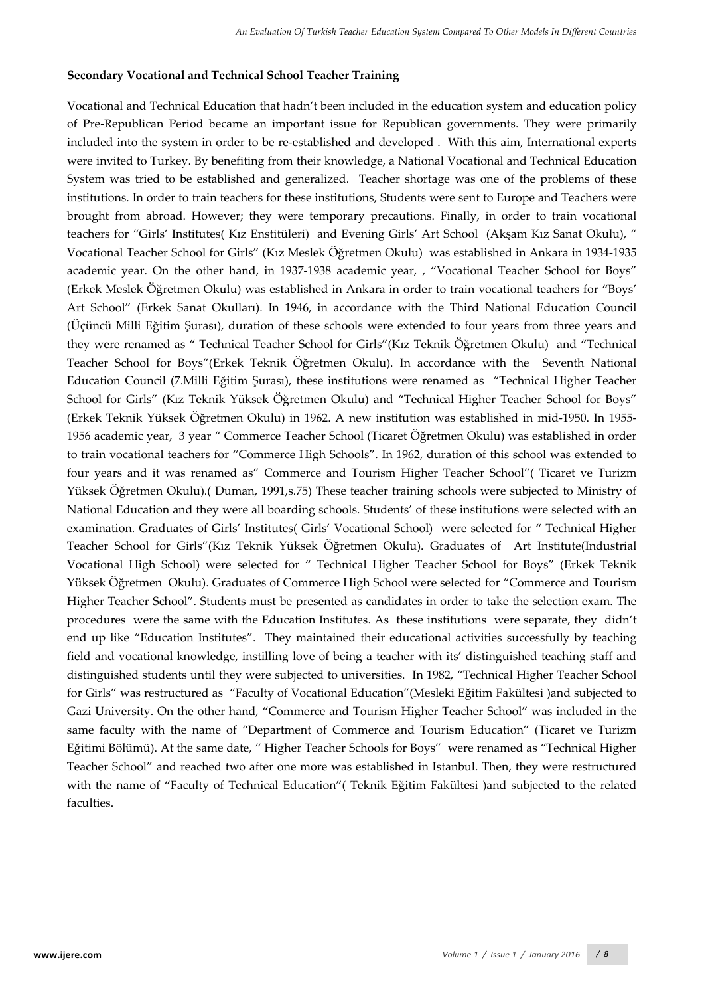#### **Secondary Vocational and Technical School Teacher Training**

Vocational and Technical Education that hadn't been included in the education system and education policy of Pre-Republican Period became an important issue for Republican governments. They were primarily included into the system in order to be re-established and developed . With this aim, International experts were invited to Turkey. By benefiting from their knowledge, a National Vocational and Technical Education System was tried to be established and generalized. Teacher shortage was one of the problems of these institutions. In order to train teachers for these institutions, Students were sent to Europe and Teachers were brought from abroad. However; they were temporary precautions. Finally, in order to train vocational teachers for "Girls' Institutes( Kız Enstitüleri) and Evening Girls' Art School (Akşam Kız Sanat Okulu), " Vocational Teacher School for Girls" (Kız Meslek Öğretmen Okulu) was established in Ankara in 1934-1935 academic year. On the other hand, in 1937-1938 academic year, , "Vocational Teacher School for Boys" (Erkek Meslek Öğretmen Okulu) was established in Ankara in order to train vocational teachers for "Boys' Art School" (Erkek Sanat Okulları). In 1946, in accordance with the Third National Education Council (Üçüncü Milli Eğitim Şurası), duration of these schools were extended to four years from three years and they were renamed as " Technical Teacher School for Girls"(Kız Teknik Öğretmen Okulu) and "Technical Teacher School for Boys"(Erkek Teknik Öğretmen Okulu). In accordance with the Seventh National Education Council (7.Milli Eğitim Şurası), these institutions were renamed as "Technical Higher Teacher School for Girls" (Kız Teknik Yüksek Öğretmen Okulu) and "Technical Higher Teacher School for Boys" (Erkek Teknik Yüksek Öğretmen Okulu) in 1962. A new institution was established in mid-1950. In 1955- 1956 academic year, 3 year " Commerce Teacher School (Ticaret Öğretmen Okulu) was established in order to train vocational teachers for "Commerce High Schools". In 1962, duration of this school was extended to four years and it was renamed as" Commerce and Tourism Higher Teacher School"( Ticaret ve Turizm Yüksek Öğretmen Okulu).( Duman, 1991,s.75) These teacher training schools were subjected to Ministry of National Education and they were all boarding schools. Students' of these institutions were selected with an examination. Graduates of Girls' Institutes( Girls' Vocational School) were selected for " Technical Higher Teacher School for Girls"(Kız Teknik Yüksek Öğretmen Okulu). Graduates of Art Institute(Industrial Vocational High School) were selected for " Technical Higher Teacher School for Boys" (Erkek Teknik Yüksek Öğretmen Okulu). Graduates of Commerce High School were selected for "Commerce and Tourism Higher Teacher School". Students must be presented as candidates in order to take the selection exam. The procedures were the same with the Education Institutes. As these institutions were separate, they didn't end up like "Education Institutes". They maintained their educational activities successfully by teaching field and vocational knowledge, instilling love of being a teacher with its' distinguished teaching staff and distinguished students until they were subjected to universities. In 1982, "Technical Higher Teacher School for Girls" was restructured as "Faculty of Vocational Education"(Mesleki Eğitim Fakültesi )and subjected to Gazi University. On the other hand, "Commerce and Tourism Higher Teacher School" was included in the same faculty with the name of "Department of Commerce and Tourism Education" (Ticaret ve Turizm Eğitimi Bölümü). At the same date, " Higher Teacher Schools for Boys" were renamed as "Technical Higher Teacher School" and reached two after one more was established in Istanbul. Then, they were restructured with the name of "Faculty of Technical Education"( Teknik Eğitim Fakültesi )and subjected to the related faculties.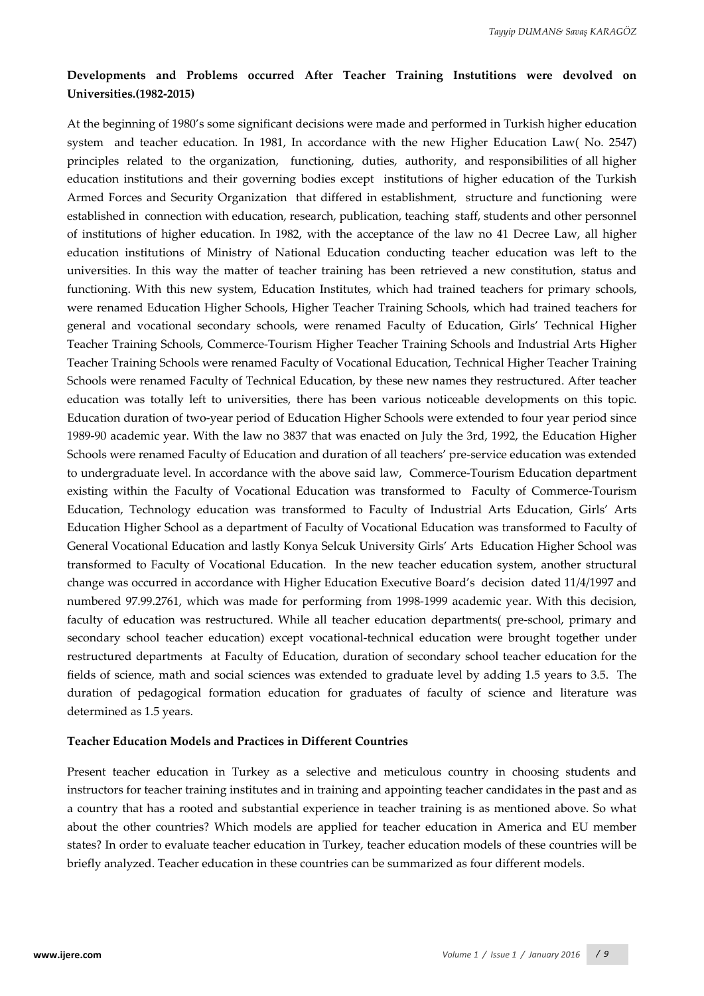## **Developments and Problems occurred After Teacher Training Instutitions were devolved on Universities.(1982-2015)**

At the beginning of 1980's some significant decisions were made and performed in Turkish higher education system and teacher education. In 1981, In accordance with the new Higher Education Law( No. 2547) principles related to the organization, functioning, duties, authority, and responsibilities of all higher education institutions and their governing bodies except institutions of higher education of the Turkish Armed Forces and Security Organization that differed in establishment, structure and functioning were established in connection with education, research, publication, teaching staff, students and other personnel of institutions of higher education. In 1982, with the acceptance of the law no 41 Decree Law, all higher education institutions of Ministry of National Education conducting teacher education was left to the universities. In this way the matter of teacher training has been retrieved a new constitution, status and functioning. With this new system, Education Institutes, which had trained teachers for primary schools, were renamed Education Higher Schools, Higher Teacher Training Schools, which had trained teachers for general and vocational secondary schools, were renamed Faculty of Education, Girls' Technical Higher Teacher Training Schools, Commerce-Tourism Higher Teacher Training Schools and Industrial Arts Higher Teacher Training Schools were renamed Faculty of Vocational Education, Technical Higher Teacher Training Schools were renamed Faculty of Technical Education, by these new names they restructured. After teacher education was totally left to universities, there has been various noticeable developments on this topic. Education duration of two-year period of Education Higher Schools were extended to four year period since 1989-90 academic year. With the law no 3837 that was enacted on July the 3rd, 1992, the Education Higher Schools were renamed Faculty of Education and duration of all teachers' pre-service education was extended to undergraduate level. In accordance with the above said law, Commerce-Tourism Education department existing within the Faculty of Vocational Education was transformed to Faculty of Commerce-Tourism Education, Technology education was transformed to Faculty of Industrial Arts Education, Girls' Arts Education Higher School as a department of Faculty of Vocational Education was transformed to Faculty of General Vocational Education and lastly Konya Selcuk University Girls' Arts Education Higher School was transformed to Faculty of Vocational Education. In the new teacher education system, another structural change was occurred in accordance with Higher Education Executive Board's decision dated 11/4/1997 and numbered 97.99.2761, which was made for performing from 1998-1999 academic year. With this decision, faculty of education was restructured. While all teacher education departments( pre-school, primary and secondary school teacher education) except vocational-technical education were brought together under restructured departments at Faculty of Education, duration of secondary school teacher education for the fields of science, math and social sciences was extended to graduate level by adding 1.5 years to 3.5. The duration of pedagogical formation education for graduates of faculty of science and literature was determined as 1.5 years.

#### **Teacher Education Models and Practices in Different Countries**

Present teacher education in Turkey as a selective and meticulous country in choosing students and instructors for teacher training institutes and in training and appointing teacher candidates in the past and as a country that has a rooted and substantial experience in teacher training is as mentioned above. So what about the other countries? Which models are applied for teacher education in America and EU member states? In order to evaluate teacher education in Turkey, teacher education models of these countries will be briefly analyzed. Teacher education in these countries can be summarized as four different models.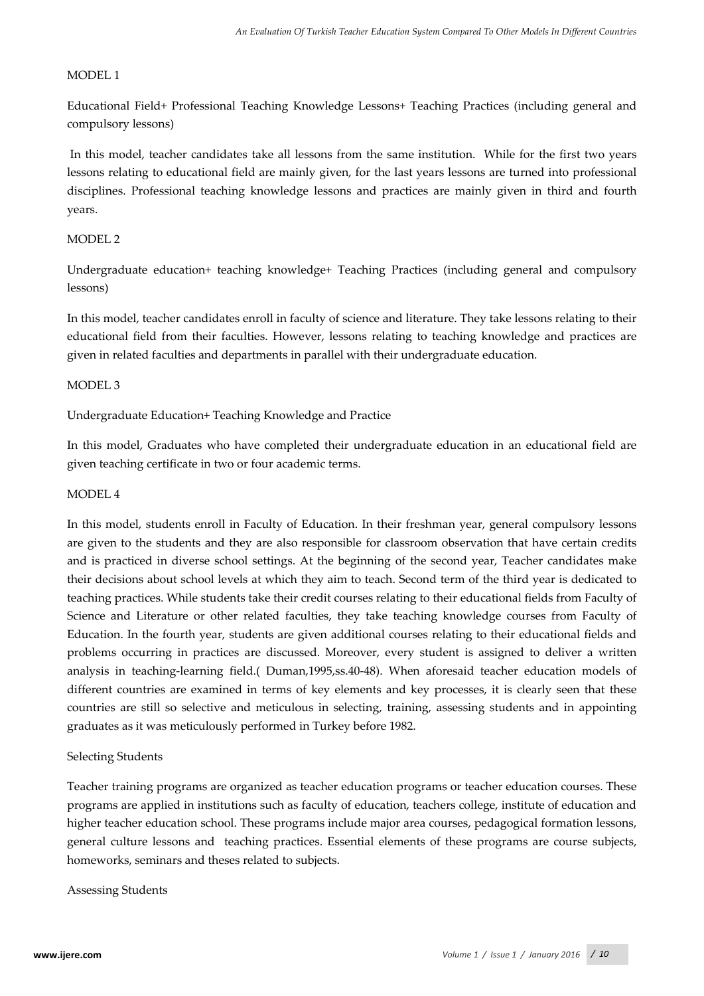### MODEL 1

Educational Field+ Professional Teaching Knowledge Lessons+ Teaching Practices (including general and compulsory lessons)

In this model, teacher candidates take all lessons from the same institution. While for the first two years lessons relating to educational field are mainly given, for the last years lessons are turned into professional disciplines. Professional teaching knowledge lessons and practices are mainly given in third and fourth years.

### MODEL 2

Undergraduate education+ teaching knowledge+ Teaching Practices (including general and compulsory lessons)

In this model, teacher candidates enroll in faculty of science and literature. They take lessons relating to their educational field from their faculties. However, lessons relating to teaching knowledge and practices are given in related faculties and departments in parallel with their undergraduate education.

#### MODEL 3

Undergraduate Education+ Teaching Knowledge and Practice

In this model, Graduates who have completed their undergraduate education in an educational field are given teaching certificate in two or four academic terms.

#### MODEL 4

In this model, students enroll in Faculty of Education. In their freshman year, general compulsory lessons are given to the students and they are also responsible for classroom observation that have certain credits and is practiced in diverse school settings. At the beginning of the second year, Teacher candidates make their decisions about school levels at which they aim to teach. Second term of the third year is dedicated to teaching practices. While students take their credit courses relating to their educational fields from Faculty of Science and Literature or other related faculties, they take teaching knowledge courses from Faculty of Education. In the fourth year, students are given additional courses relating to their educational fields and problems occurring in practices are discussed. Moreover, every student is assigned to deliver a written analysis in teaching-learning field.( Duman,1995,ss.40-48). When aforesaid teacher education models of different countries are examined in terms of key elements and key processes, it is clearly seen that these countries are still so selective and meticulous in selecting, training, assessing students and in appointing graduates as it was meticulously performed in Turkey before 1982.

### Selecting Students

Teacher training programs are organized as teacher education programs or teacher education courses. These programs are applied in institutions such as faculty of education, teachers college, institute of education and higher teacher education school. These programs include major area courses, pedagogical formation lessons, general culture lessons and teaching practices. Essential elements of these programs are course subjects, homeworks, seminars and theses related to subjects.

Assessing Students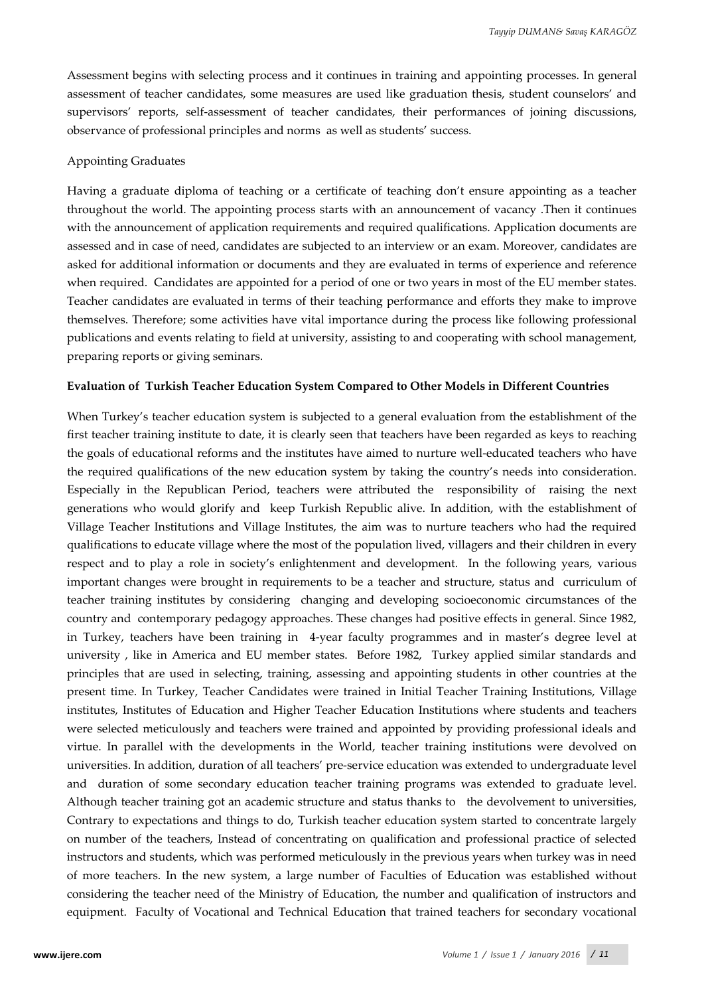Assessment begins with selecting process and it continues in training and appointing processes. In general assessment of teacher candidates, some measures are used like graduation thesis, student counselors' and supervisors' reports, self-assessment of teacher candidates, their performances of joining discussions, observance of professional principles and norms as well as students' success.

#### Appointing Graduates

Having a graduate diploma of teaching or a certificate of teaching don't ensure appointing as a teacher throughout the world. The appointing process starts with an announcement of vacancy .Then it continues with the announcement of application requirements and required qualifications. Application documents are assessed and in case of need, candidates are subjected to an interview or an exam. Moreover, candidates are asked for additional information or documents and they are evaluated in terms of experience and reference when required. Candidates are appointed for a period of one or two years in most of the EU member states. Teacher candidates are evaluated in terms of their teaching performance and efforts they make to improve themselves. Therefore; some activities have vital importance during the process like following professional publications and events relating to field at university, assisting to and cooperating with school management, preparing reports or giving seminars.

#### **Evaluation of Turkish Teacher Education System Compared to Other Models in Different Countries**

When Turkey's teacher education system is subjected to a general evaluation from the establishment of the first teacher training institute to date, it is clearly seen that teachers have been regarded as keys to reaching the goals of educational reforms and the institutes have aimed to nurture well-educated teachers who have the required qualifications of the new education system by taking the country's needs into consideration. Especially in the Republican Period, teachers were attributed the responsibility of raising the next generations who would glorify and keep Turkish Republic alive. In addition, with the establishment of Village Teacher Institutions and Village Institutes, the aim was to nurture teachers who had the required qualifications to educate village where the most of the population lived, villagers and their children in every respect and to play a role in society's enlightenment and development. In the following years, various important changes were brought in requirements to be a teacher and structure, status and curriculum of teacher training institutes by considering changing and developing socioeconomic circumstances of the country and contemporary pedagogy approaches. These changes had positive effects in general. Since 1982, in Turkey, teachers have been training in 4-year faculty programmes and in master's degree level at university , like in America and EU member states. Before 1982, Turkey applied similar standards and principles that are used in selecting, training, assessing and appointing students in other countries at the present time. In Turkey, Teacher Candidates were trained in Initial Teacher Training Institutions, Village institutes, Institutes of Education and Higher Teacher Education Institutions where students and teachers were selected meticulously and teachers were trained and appointed by providing professional ideals and virtue. In parallel with the developments in the World, teacher training institutions were devolved on universities. In addition, duration of all teachers' pre-service education was extended to undergraduate level and duration of some secondary education teacher training programs was extended to graduate level. Although teacher training got an academic structure and status thanks to the devolvement to universities, Contrary to expectations and things to do, Turkish teacher education system started to concentrate largely on number of the teachers, Instead of concentrating on qualification and professional practice of selected instructors and students, which was performed meticulously in the previous years when turkey was in need of more teachers. In the new system, a large number of Faculties of Education was established without considering the teacher need of the Ministry of Education, the number and qualification of instructors and equipment. Faculty of Vocational and Technical Education that trained teachers for secondary vocational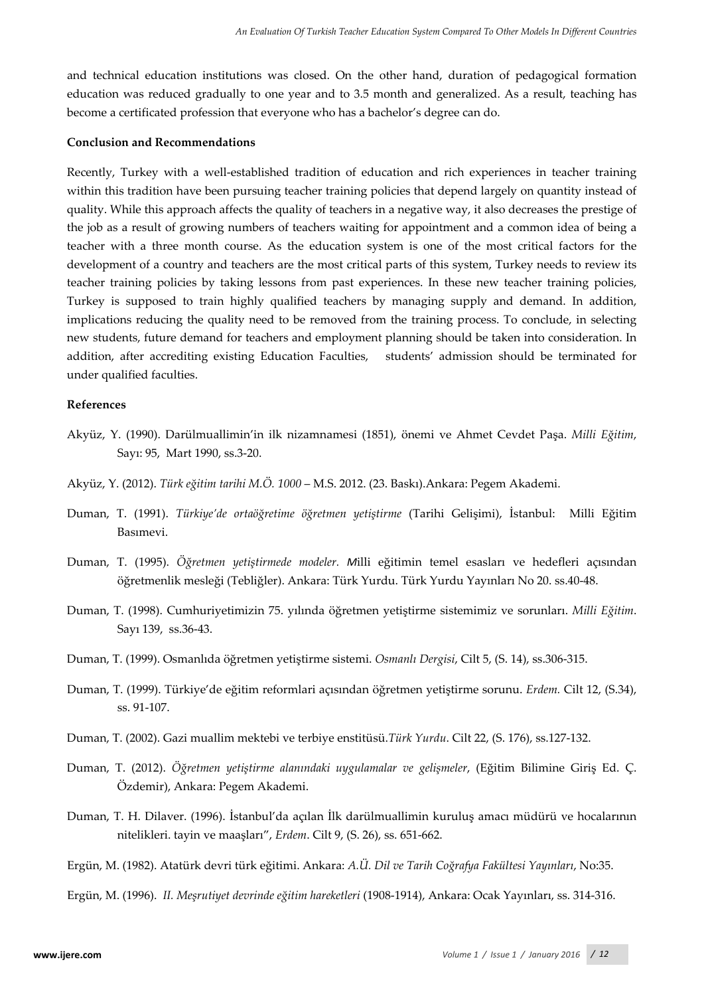and technical education institutions was closed. On the other hand, duration of pedagogical formation education was reduced gradually to one year and to 3.5 month and generalized. As a result, teaching has become a certificated profession that everyone who has a bachelor's degree can do.

#### **Conclusion and Recommendations**

Recently, Turkey with a well-established tradition of education and rich experiences in teacher training within this tradition have been pursuing teacher training policies that depend largely on quantity instead of quality. While this approach affects the quality of teachers in a negative way, it also decreases the prestige of the job as a result of growing numbers of teachers waiting for appointment and a common idea of being a teacher with a three month course. As the education system is one of the most critical factors for the development of a country and teachers are the most critical parts of this system, Turkey needs to review its teacher training policies by taking lessons from past experiences. In these new teacher training policies, Turkey is supposed to train highly qualified teachers by managing supply and demand. In addition, implications reducing the quality need to be removed from the training process. To conclude, in selecting new students, future demand for teachers and employment planning should be taken into consideration. In addition, after accrediting existing Education Faculties, students' admission should be terminated for under qualified faculties.

#### **References**

- Akyüz, Y. (1990). Darülmuallimin'in ilk nizamnamesi (1851), önemi ve Ahmet Cevdet Paşa. *Milli Eğitim*, Sayı: 95, Mart 1990, ss.3-20.
- Akyüz, Y. (2012). *Türk eğitim tarihi M.Ö. 1000* M.S. 2012. (23. Baskı).Ankara: Pegem Akademi.
- Duman, T. (1991). *Türkiye'de ortaöğretime öğretmen yetiştirme* (Tarihi Gelişimi), İstanbul: Milli Eğitim Basımevi.
- Duman, T. (1995). *Öğretmen yetiştirmede modeler. M*illi eğitimin temel esasları ve hedefleri açısından öğretmenlik mesleği (Tebliğler). Ankara: Türk Yurdu. Türk Yurdu Yayınları No 20. ss.40-48.
- Duman, T. (1998). Cumhuriyetimizin 75. yılında öğretmen yetiştirme sistemimiz ve sorunları. *Milli Eğitim*. Sayı 139, ss.36-43.
- Duman, T. (1999). Osmanlıda öğretmen yetiştirme sistemi. *Osmanlı Dergisi*, Cilt 5, (S. 14), ss.306-315.
- Duman, T. (1999). Türkiye'de eğitim reformlari açısından öğretmen yetiştirme sorunu. *Erdem.* Cilt 12, (S.34), ss. 91-107.
- Duman, T. (2002). Gazi muallim mektebi ve terbiye enstitüsü.*Türk Yurdu*. Cilt 22, (S. 176), ss.127-132.
- Duman, T. (2012). *Öğretmen yetiştirme alanındaki uygulamalar ve gelişmeler*, (Eğitim Bilimine Giriş Ed. Ç. Özdemir), Ankara: Pegem Akademi.
- Duman, T. H. Dilaver. (1996). İstanbul'da açılan İlk darülmuallimin kuruluş amacı müdürü ve hocalarının nitelikleri. tayin ve maaşları", *Erdem*. Cilt 9, (S. 26), ss. 651-662.
- Ergün, M. (1982). Atatürk devri türk eğitimi. Ankara: *A.Ü. Dil ve Tarih Coğrafya Fakültesi Yayınları*, No:35.
- Ergün, M. (1996). *II. Meşrutiyet devrinde eğitim hareketleri* (1908-1914), Ankara: Ocak Yayınları, ss. 314-316.